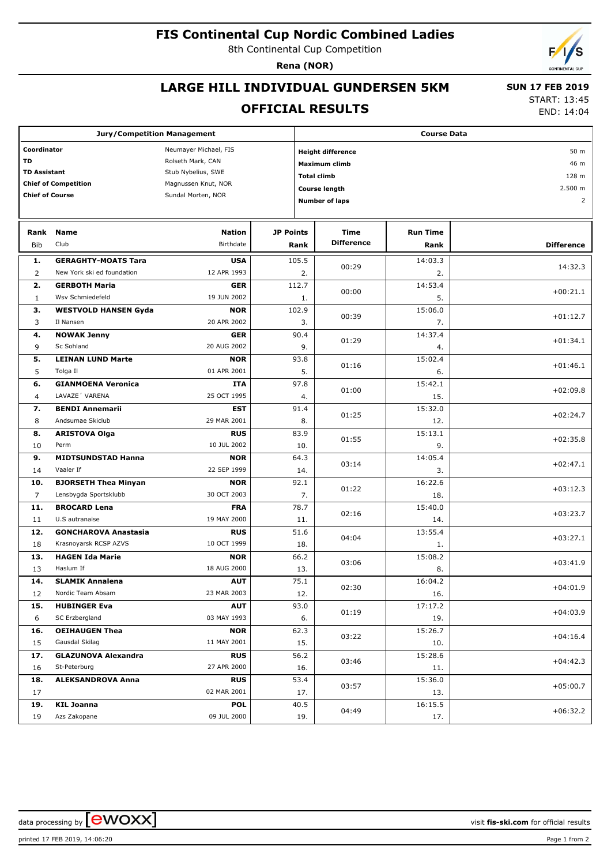## **FIS Continental Cup Nordic Combined Ladies**

8th Continental Cup Competition

**Rena (NOR)**

## **LARGE HILL INDIVIDUAL GUNDERSEN 5KM**

### **OFFICIAL RESULTS**

 **SUN 17 FEB 2019** START: 13:45

END: 14:04

| <b>Jury/Competition Management</b>   |                             |                     |                  | <b>Course Data</b>               |                       |                 |                   |  |  |
|--------------------------------------|-----------------------------|---------------------|------------------|----------------------------------|-----------------------|-----------------|-------------------|--|--|
| Coordinator<br>Neumayer Michael, FIS |                             |                     |                  | 50 m<br><b>Height difference</b> |                       |                 |                   |  |  |
| TD                                   |                             | Rolseth Mark, CAN   |                  |                                  | Maximum climb         | 46 m            |                   |  |  |
| <b>TD Assistant</b>                  |                             | Stub Nybelius, SWE  |                  |                                  |                       |                 | 128 m             |  |  |
| <b>Chief of Competition</b>          |                             | Magnussen Knut, NOR |                  |                                  | <b>Total climb</b>    |                 |                   |  |  |
| <b>Chief of Course</b>               |                             | Sundal Morten, NOR  |                  |                                  | <b>Course length</b>  | 2.500 m         |                   |  |  |
|                                      |                             |                     |                  |                                  | <b>Number of laps</b> |                 | $\overline{2}$    |  |  |
| Rank                                 | Name                        | <b>Nation</b>       | <b>JP Points</b> |                                  | Time                  | <b>Run Time</b> |                   |  |  |
| Bib                                  | Club                        | Birthdate           |                  | Rank                             | <b>Difference</b>     | Rank            | <b>Difference</b> |  |  |
| 1.                                   | <b>GERAGHTY-MOATS Tara</b>  | <b>USA</b>          |                  | 105.5                            |                       | 14:03.3         |                   |  |  |
| 2                                    | New York ski ed foundation  | 12 APR 1993         |                  | 2.                               | 00:29                 | 2.              | 14:32.3           |  |  |
| 2.                                   | <b>GERBOTH Maria</b>        | <b>GER</b>          |                  | 112.7                            | 00:00                 | 14:53.4         | $+00:21.1$        |  |  |
| $\mathbf{1}$                         | Wsv Schmiedefeld            | 19 JUN 2002         |                  | 1.                               |                       | 5.              |                   |  |  |
| з.                                   | <b>WESTVOLD HANSEN Gyda</b> | <b>NOR</b>          |                  | 102.9                            |                       | 15:06.0         |                   |  |  |
| 3                                    | Il Nansen                   | 20 APR 2002         |                  | 3.                               | 00:39                 | 7.              | $+01:12.7$        |  |  |
| 4.                                   | <b>NOWAK Jenny</b>          | <b>GER</b>          |                  | 90.4                             |                       | 14:37.4         |                   |  |  |
| 9                                    | Sc Sohland                  | 20 AUG 2002         |                  | 9.                               | 01:29                 | 4.              | $+01:34.1$        |  |  |
| 5.                                   | <b>LEINAN LUND Marte</b>    | <b>NOR</b>          |                  | 93.8                             |                       | 15:02.4         |                   |  |  |
| 5                                    | Tolga Il                    | 01 APR 2001         |                  | 5.                               | 01:16                 | 6.              | $+01:46.1$        |  |  |
| 6.                                   | <b>GIANMOENA Veronica</b>   | ITA                 |                  | 97.8                             |                       | 15:42.1         |                   |  |  |
| $\overline{4}$                       | LAVAZE' VARENA              | 25 OCT 1995         |                  | 4.                               | 01:00                 | 15.             | $+02:09.8$        |  |  |
| 7.                                   | <b>BENDI Annemarii</b>      | EST                 |                  | 91.4                             |                       | 15:32.0         |                   |  |  |
| 8                                    | Andsumae Skiclub            | 29 MAR 2001         |                  | 8.                               | 01:25                 | 12.             | $+02:24.7$        |  |  |
| 8.                                   | <b>ARISTOVA Olga</b>        | <b>RUS</b>          |                  | 83.9                             |                       | 15:13.1         |                   |  |  |
| 10                                   | Perm                        | 10 JUL 2002         |                  | 10.                              | 01:55                 | 9.              | $+02:35.8$        |  |  |
| 9.                                   | <b>MIDTSUNDSTAD Hanna</b>   | <b>NOR</b>          |                  | 64.3                             |                       | 14:05.4         |                   |  |  |
| 14                                   | Vaaler If                   | 22 SEP 1999         |                  | 14.                              | 03:14                 | 3.              | $+02:47.1$        |  |  |
| 10.                                  | <b>BJORSETH Thea Minyan</b> | <b>NOR</b>          |                  | 92.1                             |                       | 16:22.6         |                   |  |  |
| $\overline{7}$                       | Lensbygda Sportsklubb       | 30 OCT 2003         |                  | 7.                               | 01:22                 | 18.             | $+03:12.3$        |  |  |
| 11.                                  | <b>BROCARD Lena</b>         | <b>FRA</b>          |                  | 78.7                             |                       | 15:40.0         |                   |  |  |
| 11                                   | U.S autranaise              | 19 MAY 2000         |                  | 11.                              | 02:16                 | 14.             | $+03:23.7$        |  |  |
| 12.                                  | <b>GONCHAROVA Anastasia</b> | <b>RUS</b>          |                  | 51.6                             |                       | 13:55.4         |                   |  |  |
| 18                                   | Krasnoyarsk RCSP AZVS       | 10 OCT 1999         |                  | 18.                              | 04:04                 | 1.              | $+03:27.1$        |  |  |
| 13.                                  | <b>HAGEN Ida Marie</b>      | <b>NOR</b>          |                  | 66.2                             |                       | 15:08.2         |                   |  |  |
| 13                                   | Haslum If                   | 18 AUG 2000         |                  | 13.                              | 03:06                 | 8.              | $+03:41.9$        |  |  |
| 14.                                  | <b>SLAMIK Annalena</b>      | <b>AUT</b>          |                  | 75.1                             |                       | 16:04.2         |                   |  |  |
| 12                                   | Nordic Team Absam           | 23 MAR 2003         |                  | 12.                              | 02:30                 | 16.             | $+04:01.9$        |  |  |
| 15.                                  | <b>HUBINGER Eva</b>         | <b>AUT</b>          |                  | 93.0                             |                       | 17:17.2         |                   |  |  |
| 6                                    | SC Erzbergland              | 03 MAY 1993         |                  | 6.                               | 01:19                 | 19.             | $+04:03.9$        |  |  |
| 16.                                  | <b>OEIHAUGEN Thea</b>       | <b>NOR</b>          |                  | 62.3                             |                       | 15:26.7         |                   |  |  |
| 15                                   | Gausdal Skilag              | 11 MAY 2001         |                  | 15.                              | 03:22                 | 10.             | $+04:16.4$        |  |  |
| 17.                                  | <b>GLAZUNOVA Alexandra</b>  | <b>RUS</b>          |                  | 56.2                             |                       | 15:28.6         |                   |  |  |
| 16                                   | St-Peterburg                | 27 APR 2000         |                  | 16.                              | 03:46                 | 11.             | $+04:42.3$        |  |  |
| 18.                                  | <b>ALEKSANDROVA Anna</b>    | <b>RUS</b>          |                  | 53.4                             |                       | 15:36.0         |                   |  |  |
| 17                                   |                             | 02 MAR 2001         |                  | 17.                              | 03:57                 | 13.             | $+05:00.7$        |  |  |
| 19.                                  | <b>KIL Joanna</b>           | <b>POL</b>          |                  | 40.5                             |                       | 16:15.5         |                   |  |  |
| 19                                   | Azs Zakopane                | 09 JUL 2000         |                  | 19.                              | 04:49                 | 17.             | $+06:32.2$        |  |  |
|                                      |                             |                     |                  |                                  |                       |                 |                   |  |  |

data processing by  $\boxed{\text{ewOX}}$